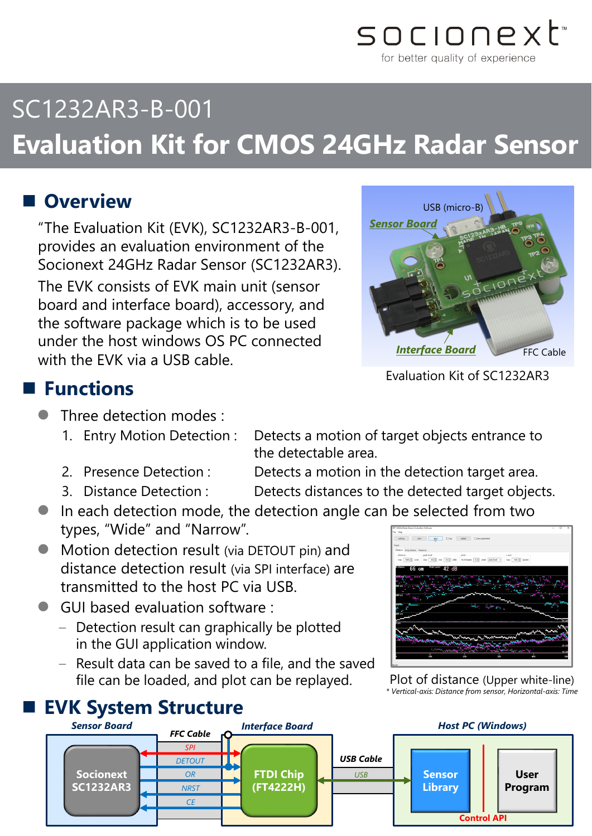

# SC1232AR3-B-001 **Evaluation Kit for CMOS 24GHz Radar Sensor**

## **Overview**

"The Evaluation Kit (EVK), SC1232AR3-B-001, provides an evaluation environment of the Socionext 24GHz Radar Sensor (SC1232AR3). The EVK consists of EVK main unit (sensor board and interface board), accessory, and the software package which is to be used under the host windows OS PC connected with the EVK via a USB cable.



Evaluation Kit of SC1232AR3

### **Functions**

- Three detection modes :
	- 1. Entry Motion Detection : Detects a motion of target objects entrance to
	- 2. Presence Detection : Detects a motion in the detection target area.
	-
	- 3. Distance Detection : Detects distances to the detected target objects.
- In each detection mode, the detection angle can be selected from two types, "Wide" and "Narrow".

the detectable area.

- **•** Motion detection result (via DETOUT pin) and distance detection result (via SPI interface) are transmitted to the host PC via USB.
- GUI based evaluation software :
	- Detection result can graphically be plotted in the GUI application window.
	- Result data can be saved to a file, and the saved file can be loaded, and plot can be replayed.

### **EVK System Structure**



Plot of distance (Upper white-line) *\* Vertical-axis: Distance from sensor, Horizontal-axis: Time*